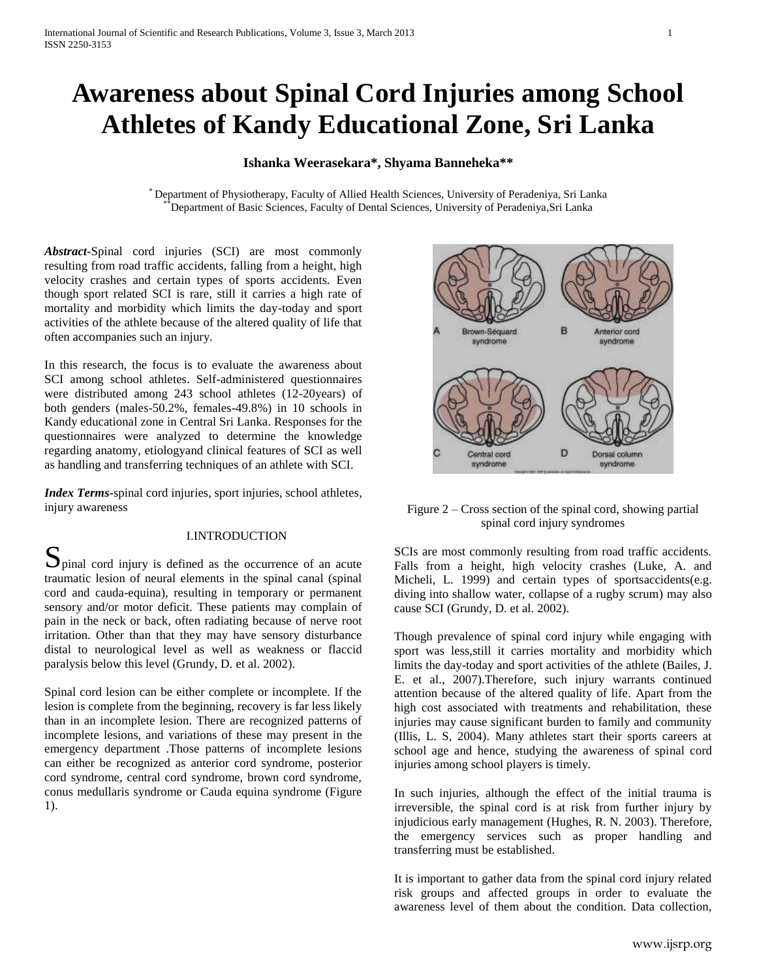# **Awareness about Spinal Cord Injuries among School Athletes of Kandy Educational Zone, Sri Lanka**

## **Ishanka Weerasekara\*, Shyama Banneheka\*\***

\* Department of Physiotherapy, Faculty of Allied Health Sciences, University of Peradeniya, Sri Lanka Department of Basic Sciences, Faculty of Dental Sciences, University of Peradeniya,Sri Lanka

*Abstract***-**Spinal cord injuries (SCI) are most commonly resulting from road traffic accidents, falling from a height, high velocity crashes and certain types of sports accidents. Even though sport related SCI is rare, still it carries a high rate of mortality and morbidity which limits the day-today and sport activities of the athlete because of the altered quality of life that often accompanies such an injury.

In this research, the focus is to evaluate the awareness about SCI among school athletes. Self-administered questionnaires were distributed among 243 school athletes (12-20years) of both genders (males-50.2%, females-49.8%) in 10 schools in Kandy educational zone in Central Sri Lanka. Responses for the questionnaires were analyzed to determine the knowledge regarding anatomy, etiologyand clinical features of SCI as well as handling and transferring techniques of an athlete with SCI.

*Index Terms***-**spinal cord injuries, sport injuries, school athletes, injury awareness

#### I.INTRODUCTION

 $S_{pinal cord injury is defined as the occurrence of an acute$ traumatic lesion of neural elements in the spinal canal (spinal cord and cauda-equina), resulting in temporary or permanent sensory and/or motor deficit. These patients may complain of pain in the neck or back, often radiating because of nerve root irritation. Other than that they may have sensory disturbance distal to neurological level as well as weakness or flaccid paralysis below this level (Grundy, D. et al. 2002).

Spinal cord lesion can be either complete or incomplete. If the lesion is complete from the beginning, recovery is far less likely than in an incomplete lesion. There are recognized patterns of incomplete lesions, and variations of these may present in the emergency department .Those patterns of incomplete lesions can either be recognized as anterior cord syndrome, posterior cord syndrome, central cord syndrome, brown cord syndrome, conus medullaris syndrome or Cauda equina syndrome (Figure 1).



## Figure 2 – Cross section of the spinal cord, showing partial spinal cord injury syndromes

SCIs are most commonly resulting from road traffic accidents. Falls from a height, high velocity crashes (Luke, A. and Micheli, L. 1999) and certain types of sportsaccidents(e.g. diving into shallow water, collapse of a rugby scrum) may also cause SCI (Grundy, D. et al. 2002).

Though prevalence of spinal cord injury while engaging with sport was less,still it carries mortality and morbidity which limits the day-today and sport activities of the athlete (Bailes, J. E. et al., 2007).Therefore, such injury warrants continued attention because of the altered quality of life. Apart from the high cost associated with treatments and rehabilitation, these injuries may cause significant burden to family and community (Illis, L. S, 2004). Many athletes start their sports careers at school age and hence, studying the awareness of spinal cord injuries among school players is timely.

In such injuries, although the effect of the initial trauma is irreversible, the spinal cord is at risk from further injury by injudicious early management (Hughes, R. N. 2003). Therefore, the emergency services such as proper handling and transferring must be established.

It is important to gather data from the spinal cord injury related risk groups and affected groups in order to evaluate the awareness level of them about the condition. Data collection,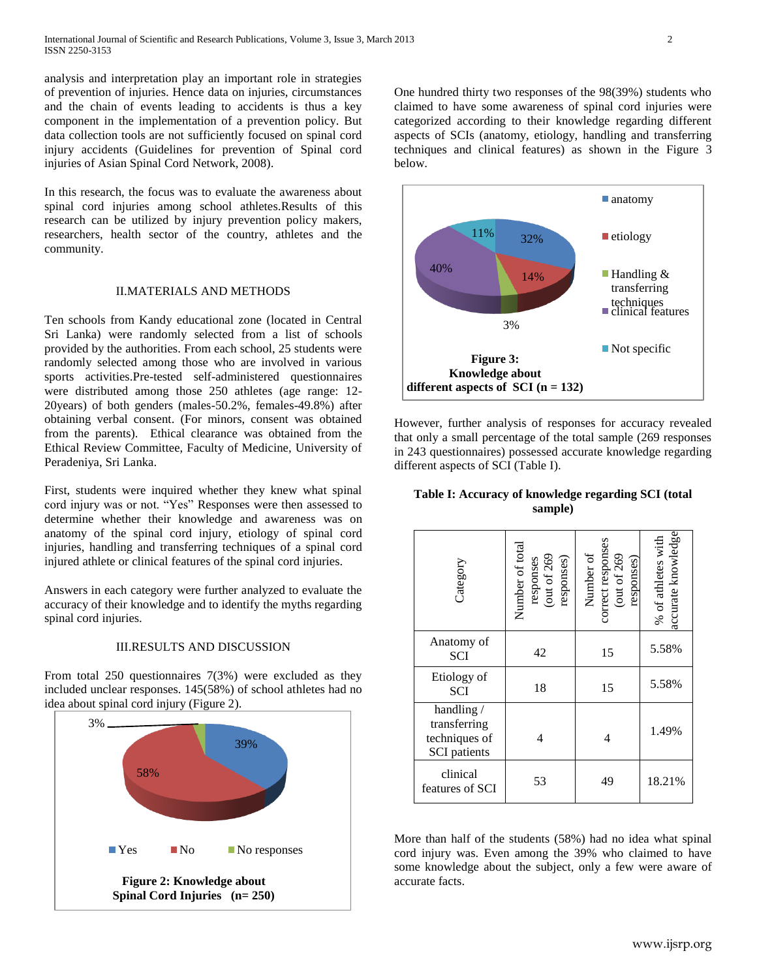analysis and interpretation play an important role in strategies of prevention of injuries. Hence data on injuries, circumstances and the chain of events leading to accidents is thus a key component in the implementation of a prevention policy. But data collection tools are not sufficiently focused on spinal cord injury accidents (Guidelines for prevention of Spinal cord injuries of Asian Spinal Cord Network, 2008).

In this research, the focus was to evaluate the awareness about spinal cord injuries among school athletes.Results of this research can be utilized by injury prevention policy makers, researchers, health sector of the country, athletes and the community.

### II.MATERIALS AND METHODS

Ten schools from Kandy educational zone (located in Central Sri Lanka) were randomly selected from a list of schools provided by the authorities. From each school, 25 students were randomly selected among those who are involved in various sports activities.Pre-tested self-administered questionnaires were distributed among those 250 athletes (age range: 12- 20years) of both genders (males-50.2%, females-49.8%) after obtaining verbal consent. (For minors, consent was obtained from the parents). Ethical clearance was obtained from the Ethical Review Committee, Faculty of Medicine, University of Peradeniya, Sri Lanka.

First, students were inquired whether they knew what spinal cord injury was or not. "Yes" Responses were then assessed to determine whether their knowledge and awareness was on anatomy of the spinal cord injury, etiology of spinal cord injuries, handling and transferring techniques of a spinal cord injured athlete or clinical features of the spinal cord injuries.

Answers in each category were further analyzed to evaluate the accuracy of their knowledge and to identify the myths regarding spinal cord injuries.

#### III.RESULTS AND DISCUSSION

From total 250 questionnaires 7(3%) were excluded as they included unclear responses. 145(58%) of school athletes had no idea about spinal cord injury (Figure 2).



One hundred thirty two responses of the 98(39%) students who claimed to have some awareness of spinal cord injuries were categorized according to their knowledge regarding different aspects of SCIs (anatomy, etiology, handling and transferring techniques and clinical features) as shown in the Figure 3 below.



However, further analysis of responses for accuracy revealed that only a small percentage of the total sample (269 responses in 243 questionnaires) possessed accurate knowledge regarding different aspects of SCI (Table I).

| Table I: Accuracy of knowledge regarding SCI (total |
|-----------------------------------------------------|
| sample)                                             |

| Category                                                           | Number of total<br>(out of 269<br>responses<br>responses) | correct responses<br>(out of 269<br>Number of<br>responses) | accurate knowledge<br>% of athletes with |
|--------------------------------------------------------------------|-----------------------------------------------------------|-------------------------------------------------------------|------------------------------------------|
| Anatomy of<br><b>SCI</b>                                           | 42                                                        | 15                                                          | 5.58%                                    |
| Etiology of<br>SCI                                                 | 18                                                        | 15                                                          | 5.58%                                    |
| handling /<br>transferring<br>techniques of<br><b>SCI</b> patients | 4                                                         | 4                                                           | 1.49%                                    |
| clinical<br>features of SCI                                        | 53                                                        | 49                                                          | 18.21%                                   |

More than half of the students (58%) had no idea what spinal cord injury was. Even among the 39% who claimed to have some knowledge about the subject, only a few were aware of accurate facts.